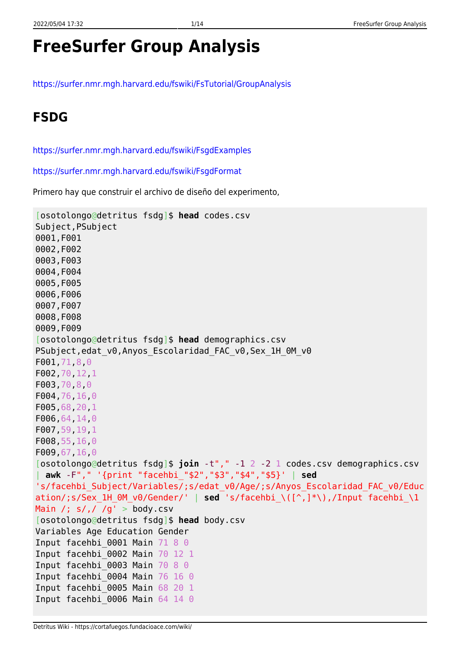# **FreeSurfer Group Analysis**

<https://surfer.nmr.mgh.harvard.edu/fswiki/FsTutorial/GroupAnalysis>

## **FSDG**

<https://surfer.nmr.mgh.harvard.edu/fswiki/FsgdExamples>

<https://surfer.nmr.mgh.harvard.edu/fswiki/FsgdFormat>

Primero hay que construir el archivo de diseño del experimento,

```
[osotolongo@detritus fsdg]$ head codes.csv
Subject,PSubject
0001,F001
0002,F002
0003,F003
0004,F004
0005,F005
0006,F006
0007,F007
0008,F008
0009,F009
[osotolongo@detritus fsdg]$ head demographics.csv
PSubject,edat v0,Anyos Escolaridad FAC v0, Sex 1H 0M v0
F001,71,8,0
F002,70,12,1
F003,70,8,0
F004,76,16,0
F005,68,20,1
F006,64,14,0
F007,59,19,1
F008,55,16,0
F009,67,16,0
[osotolongo@detritus fsdg]$ join -t"," -1 2 -2 1 codes.csv demographics.csv
 | awk -F"," '{print "facehbi_"$2","$3","$4","$5}' | sed
's/facehbi_Subject/Variables/;s/edat_v0/Age/;s/Anyos_Escolaridad_FAC_v0/Educ
ation/;s/Sex_1H_0M_v0/Gender/' | sed 's/facehbi_\([^,]*\),/Input facehbi_\1
Main /; s/, / /g' > body.csv
[osotolongo@detritus fsdg]$ head body.csv
Variables Age Education Gender
Input facehbi 0001 Main 71 8 0
Input facehbi_0002 Main 70 12 1
Input facehbi 0003 Main 70 8 0
Input facehbi_0004 Main 76 16 0
Input facehbi_0005 Main 68 20 1
Input facehbi 0006 Main 64 14 0
```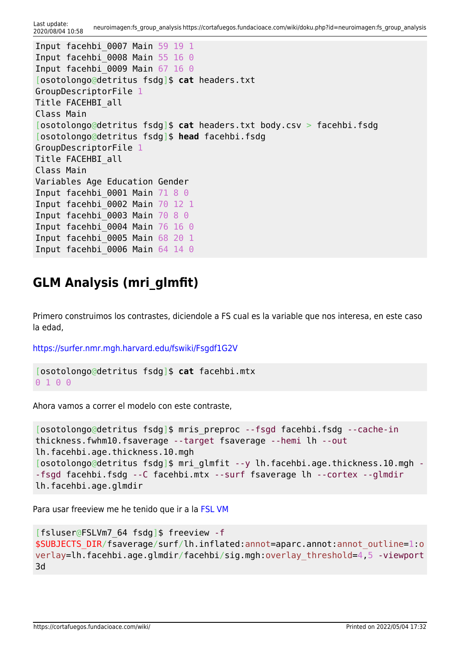Last update:<br>2020/08/04 10:58 2020/08/04 10:58 neuroimagen:fs\_group\_analysis https://cortafuegos.fundacioace.com/wiki/doku.php?id=neuroimagen:fs\_group\_analysis

```
Input facehbi_0007 Main 59 19 1
Input facehbi 0008 Main 55 16 0
Input facehbi_0009 Main 67 16 0
[osotolongo@detritus fsdg]$ cat headers.txt
GroupDescriptorFile 1
Title FACEHBI_all
Class Main
[osotolongo@detritus fsdg]$ cat headers.txt body.csv > facehbi.fsdg
[osotolongo@detritus fsdg]$ head facehbi.fsdg
GroupDescriptorFile 1
Title FACEHBI_all
Class Main
Variables Age Education Gender
Input facehbi 0001 Main 71 8 0
Input facehbi_0002 Main 70 12 1
Input facehbi 0003 Main 70 8 0
Input facehbi 0004 Main 76 16 0
Input facehbi_0005 Main 68 20 1
Input facehbi 0006 Main 64 14 0
```
### **GLM Analysis (mri\_glmfit)**

Primero construimos los contrastes, diciendole a FS cual es la variable que nos interesa, en este caso la edad,

<https://surfer.nmr.mgh.harvard.edu/fswiki/Fsgdf1G2V>

```
[osotolongo@detritus fsdg]$ cat facehbi.mtx
0 1 0 0
```
Ahora vamos a correr el modelo con este contraste,

```
[osotolongo@detritus fsdg]$ mris_preproc --fsgd facehbi.fsdg --cache-in
thickness.fwhm10.fsaverage --target fsaverage --hemi lh --out
lh.facehbi.age.thickness.10.mgh
[osotolongo@detritus fsdg]$ mri_glmfit --y lh.facehbi.age.thickness.10.mgh -
-fsgd facehbi.fsdg --C facehbi.mtx --surf fsaverage lh --cortex --glmdir
lh.facehbi.age.glmdir
```
Para usar freeview me he tenido que ir a la [FSL VM](https://cortafuegos.fundacioace.com/wiki/doku.php?id=neuroimagen:virtfsl)

```
[fsluser@FSLVm7_64 fsdg]$ freeview -f
$SUBJECTS_DIR/fsaverage/surf/lh.inflated:annot=aparc.annot:annot_outline=1:o
verlay=lh.facehbi.age.glmdir/facehbi/sig.mgh:overlay_threshold=4,5 -viewport
3d
```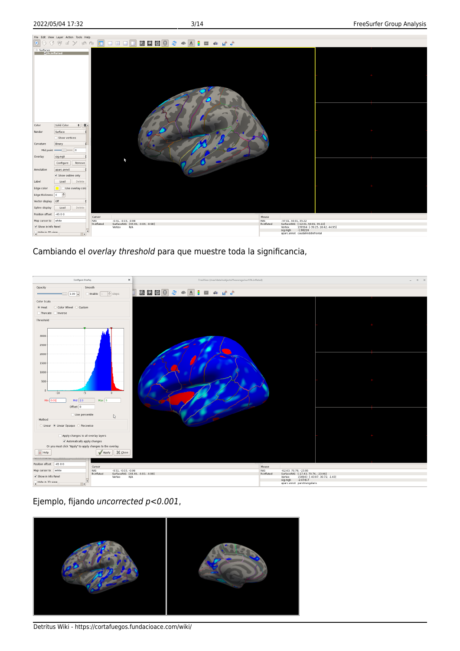

Cambiando el overlay threshold para que muestre toda la significancia,



Ejemplo, fijando uncorrected p<0.001,



Detritus Wiki - https://cortafuegos.fundacioace.com/wiki/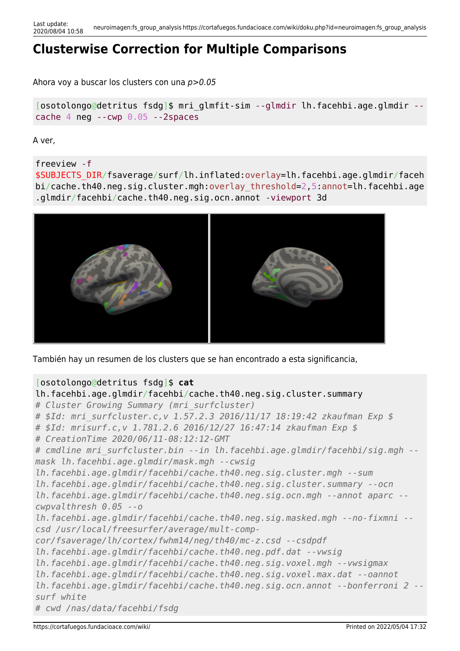## **Clusterwise Correction for Multiple Comparisons**

Ahora voy a buscar los clusters con una p>0.05

[osotolongo@detritus fsdg]\$ mri\_glmfit-sim --glmdir lh.facehbi.age.glmdir - cache 4 neg --cwp 0.05 --2spaces

A ver,

freeview -f

\$SUBJECTS\_DIR/fsaverage/surf/lh.inflated:overlay=lh.facehbi.age.glmdir/faceh bi/cache.th40.neg.sig.cluster.mgh:overlay\_threshold=2,5:annot=lh.facehbi.age .glmdir/facehbi/cache.th40.neg.sig.ocn.annot -viewport 3d



También hay un resumen de los clusters que se han encontrado a esta significancia,

### [osotolongo@detritus fsdg]\$ **cat**

```
lh.facehbi.age.glmdir/facehbi/cache.th40.neg.sig.cluster.summary
# Cluster Growing Summary (mri_surfcluster)
# $Id: mri_surfcluster.c,v 1.57.2.3 2016/11/17 18:19:42 zkaufman Exp $
# $Id: mrisurf.c,v 1.781.2.6 2016/12/27 16:47:14 zkaufman Exp $
# CreationTime 2020/06/11-08:12:12-GMT
# cmdline mri_surfcluster.bin --in lh.facehbi.age.glmdir/facehbi/sig.mgh --
mask lh.facehbi.age.glmdir/mask.mgh --cwsig
lh.facehbi.age.glmdir/facehbi/cache.th40.neg.sig.cluster.mgh --sum
lh.facehbi.age.glmdir/facehbi/cache.th40.neg.sig.cluster.summary --ocn
lh.facehbi.age.glmdir/facehbi/cache.th40.neg.sig.ocn.mgh --annot aparc --
cwpvalthresh 0.05 --o
lh.facehbi.age.glmdir/facehbi/cache.th40.neg.sig.masked.mgh --no-fixmni --
csd /usr/local/freesurfer/average/mult-comp-
cor/fsaverage/lh/cortex/fwhm14/neg/th40/mc-z.csd --csdpdf
lh.facehbi.age.glmdir/facehbi/cache.th40.neg.pdf.dat --vwsig
lh.facehbi.age.glmdir/facehbi/cache.th40.neg.sig.voxel.mgh --vwsigmax
lh.facehbi.age.glmdir/facehbi/cache.th40.neg.sig.voxel.max.dat --oannot
lh.facehbi.age.glmdir/facehbi/cache.th40.neg.sig.ocn.annot --bonferroni 2 --
surf white
# cwd /nas/data/facehbi/fsdg
```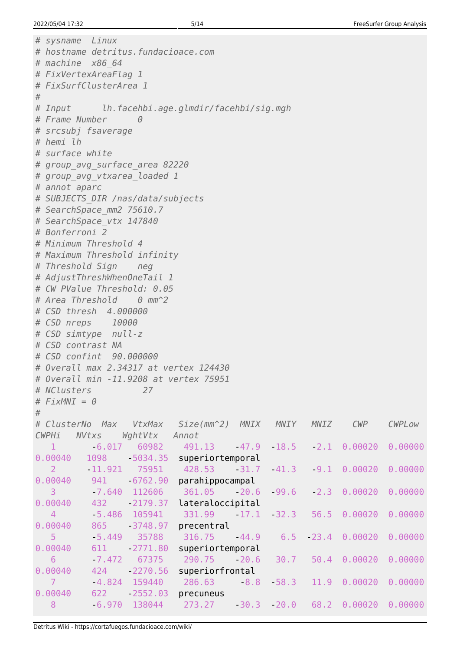```
# sysname Linux
# hostname detritus.fundacioace.com
# machine x86_64
# FixVertexAreaFlag 1
# FixSurfClusterArea 1
#
# Input lh.facehbi.age.glmdir/facehbi/sig.mgh
# Frame Number 0
# srcsubj fsaverage
# hemi lh
# surface white
# group_avg_surface_area 82220
# group_avg_vtxarea_loaded 1
# annot aparc
# SUBJECTS_DIR /nas/data/subjects
# SearchSpace_mm2 75610.7
# SearchSpace_vtx 147840
# Bonferroni 2
# Minimum Threshold 4
# Maximum Threshold infinity
# Threshold Sign neg
# AdjustThreshWhenOneTail 1
# CW PValue Threshold: 0.05
# Area Threshold 0 mm^2
# CSD thresh 4.000000
# CSD nreps 10000
# CSD simtype null-z
# CSD contrast NA
# CSD confint 90.000000
# Overall max 2.34317 at vertex 124430
# Overall min -11.9208 at vertex 75951
# NClusters 27
# FixMNI = 0
#
# ClusterNo Max VtxMax Size(mm^2) MNIX MNIY MNIZ CWP CWPLow
CWPHi NVtxs WghtVtx Annot
1 -6.017 60982 491.13 -47.9 18.5 -2.1 0.00020 0.00000
0.00040 1098 5034.35 superiortemporal
 2 -11.921 75951 428.53 -31.7 -41.3 -9.1 0.00020 0.00000
0.00040 941 6762.90 parahippocampal
 3 -7.640 112606 361.05 -20.6 -99.6 -2.3 0.00020 0.00000
0.00040 432 2179.37 lateraloccipital
   4 -5.486 105941 331.99 -17.1 -32.3 56.5 0.00020 0.00000
0.00040 865 3748.97 precentral
 5 -5.449 35788 316.75 -44.9 6.5 -23.4 0.00020 0.00000
0.00040 611 -2771.80 superiortemporal
 6 -7.472 67375 290.75 -20.6 30.7 50.4 0.00020 0.00000
0.00040  424   2270.56   superiorfrontal
   7 -4.824 159440 286.63 -8.8 -58.3 11.9 0.00020 0.00000
0.00040 622 - 2552.03 precuneus
 8 -6.970 138044 273.27 -30.3 -20.0 68.2 0.00020 0.00000
```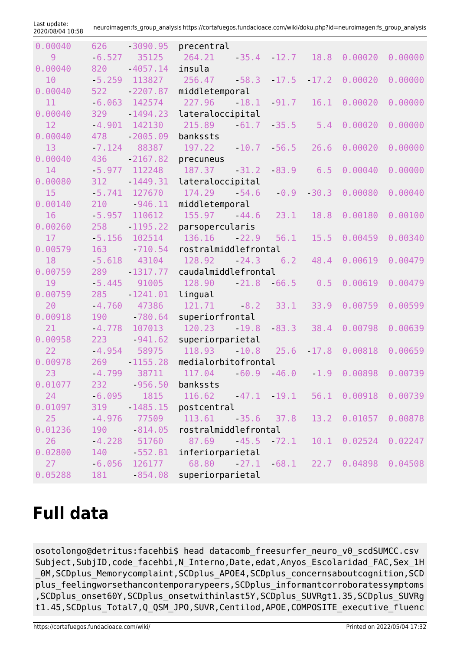| Last update:<br>2020/08/04 10:58 |          |                 | neuroimagen:fs_group_analysis https://cortafuegos.fundacioace.com/wiki/doku.php?id=neuroimagen:fs_group_analysis |              |         |         |                                      |         |
|----------------------------------|----------|-----------------|------------------------------------------------------------------------------------------------------------------|--------------|---------|---------|--------------------------------------|---------|
| 0.00040                          | 626      | $-3090.95$      | precentral                                                                                                       |              |         |         |                                      |         |
| 9                                | $-6.527$ | 35125           | 264.21                                                                                                           | $-35.4$      | $-12.7$ | 18.8    | 0.00020                              | 0.00000 |
| 0.00040                          | 820      | $-4057.14$      | insula                                                                                                           |              |         |         |                                      |         |
| 10                               | $-5.259$ | 113827          | 256.47                                                                                                           | $-58.3$      | $-17.5$ | $-17.2$ | 0.00020                              | 0.00000 |
| 0.00040                          | 522      | $-2207.87$      | middletemporal                                                                                                   |              |         |         |                                      |         |
| 11                               | $-6.063$ | 142574          | 227.96                                                                                                           | 18.1         | $-91.7$ | 16.1    | 0.00020                              | 0.00000 |
| 0.00040                          | 329      | $-1494.23$      | lateraloccipital                                                                                                 |              |         |         |                                      |         |
| 12                               | $-4.901$ | 142130          | 215.89                                                                                                           | $-61.7$      | $-35.5$ | 5.4     | 0.00020                              | 0.00000 |
| 0.00040                          | 478      | $-2005.09$      | bankssts                                                                                                         |              |         |         |                                      |         |
| 13                               | $-7.124$ | 88387           | 197.22                                                                                                           | 10.7         | $-56.5$ | 26.6    | 0.00020                              | 0.00000 |
| 0.00040                          | 436      | $-2167.82$      | precuneus                                                                                                        |              |         |         |                                      |         |
| 14                               | $-5.977$ | 112248          | 187.37                                                                                                           | $-31.2$      | $-83.9$ | 6.5     | 0.00040                              | 0.00000 |
| 0.00080                          | 312      | $-1449.31$      | lateraloccipital                                                                                                 |              |         |         |                                      |         |
| 15                               | $-5.741$ | 127670          | 174.29                                                                                                           | $-54.6$      | $-0.9$  | $-30.3$ | 0.00080                              | 0.00040 |
| 0.00140                          | 210      | $-946.11$       | middletemporal                                                                                                   |              |         |         |                                      |         |
| 16                               | $-5.957$ | 110612          | 155.97                                                                                                           | $-44.6$      | 23.1    | 18.8    | 0.00180                              | 0.00100 |
| 0.00260                          | 258      | $-1195.22$      | parsopercularis                                                                                                  |              |         |         |                                      |         |
| 17                               | $-5.156$ | 102514          | 136.16                                                                                                           | $-22.9$      | 56.1    | 15.5    | 0.00459                              | 0.00340 |
| 0.00579                          | 163      | $-710.54$       | rostralmiddlefrontal                                                                                             |              |         |         |                                      |         |
| 18                               | $-5.618$ | 43104           | 128.92                                                                                                           | $-24.3$      | 6.2     | 48.4    | 0.00619                              | 0.00479 |
| 0.00759                          | 289      | $-1317.77$      | caudalmiddlefrontal                                                                                              |              |         |         |                                      |         |
| 19                               | $-5.445$ | 91005           | 128.90                                                                                                           | $-21.8$      | $-66.5$ | 0.5     | 0.00619                              | 0.00479 |
| 0.00759                          | 285      | $-1241.01$      | lingual                                                                                                          |              |         |         |                                      |         |
| 20                               | $-4.760$ | 47386           | 121.71                                                                                                           | $-8.2$       | 33.1    | 33.9    | 0.00759                              | 0.00599 |
| 0.00918                          | 190      | $-780.64$       | superiorfrontal                                                                                                  |              |         |         |                                      |         |
| 21                               | $-4.778$ | 107013          | 120.23                                                                                                           | $-19.8$      | $-83.3$ | 38.4    | 0.00798                              | 0.00639 |
| 0.00958                          | 223      | $-941.62$       | superiorparietal                                                                                                 |              |         |         |                                      |         |
| 22                               | $-4.954$ | 58975           | 118.93                                                                                                           | $-10.8$      | 25.6    | $-17.8$ | 0.00818                              | 0.00659 |
| 0.00978                          | 269      | $-1155.28$      | medialorbitofrontal                                                                                              |              |         |         |                                      |         |
| 23                               |          |                 | $-4.799$ 38711 117.04 $-60.9$ 46.0 1.9 0.00898 0.00739                                                           |              |         |         |                                      |         |
| 0.01077                          |          | 232 956.50      | bankssts                                                                                                         |              |         |         |                                      |         |
| 24                               | $-6.095$ | 1815            | $116.62$ $47.1$ $19.1$                                                                                           |              |         | 56.1    | 0.00918                              | 0.00739 |
| 0.01097                          | 319      | 1485.15         | postcentral                                                                                                      |              |         |         |                                      |         |
| 25                               | $-4.976$ | 77509           | 113.61                                                                                                           | $-35.6$ 37.8 |         |         | 13.2 0.01057                         | 0.00878 |
| 0.01236                          | 190      | $-814.05$       | rostralmiddlefrontal                                                                                             |              |         |         |                                      |         |
| 26                               |          | $-4.228$ 51760  | 87.69 45.5 72.1                                                                                                  |              |         | 10.1    | 0.02524                              | 0.02247 |
| 0.02800                          | 140      | $-552.81$       | inferiorparietal                                                                                                 |              |         |         |                                      |         |
| 27                               |          | $-6.056$ 126177 |                                                                                                                  |              |         |         | 68.80 27.1 68.1 22.7 0.04898 0.04508 |         |
| 0.05288                          | 181      | 854.08          | superiorparietal                                                                                                 |              |         |         |                                      |         |

# **Full data**

osotolongo@detritus:facehbi\$ head datacomb\_freesurfer\_neuro\_v0\_scdSUMCC.csv Subject, SubjID, code facehbi, N Interno, Date, edat, Anyos Escolaridad FAC, Sex 1H 0M, SCDplus Memorycomplaint, SCDplus APOE4, SCDplus concernsaboutcognition, SCD plus feelingworsethancontemporarypeers,SCDplus informantcorroboratessymptoms ,SCDplus\_onset60Y,SCDplus\_onsetwithinlast5Y,SCDplus\_SUVRgt1.35,SCDplus\_SUVRg t1.45,SCDplus\_Total7,Q\_QSM\_JPO,SUVR,Centilod,APOE,COMPOSITE\_executive\_fluenc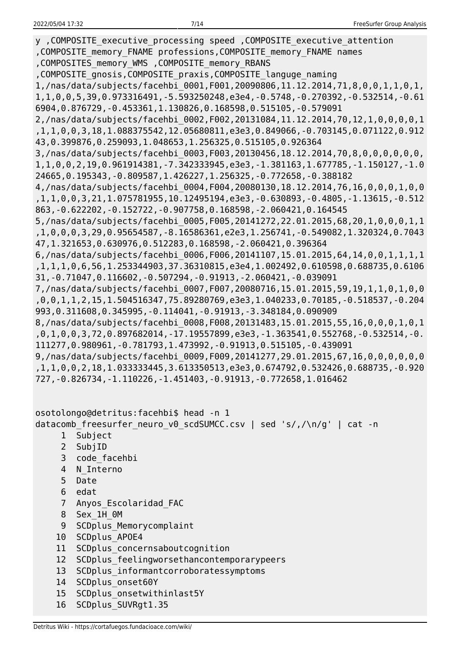y ,COMPOSITE\_executive\_processing speed ,COMPOSITE\_executive\_attention ,COMPOSITE\_memory\_FNAME professions,COMPOSITE\_memory\_FNAME names ,COMPOSITES\_memory\_WMS ,COMPOSITE\_memory\_RBANS ,COMPOSITE\_gnosis,COMPOSITE\_praxis,COMPOSITE\_languge\_naming 1,/nas/data/subjects/facehbi\_0001,F001,20090806,11.12.2014,71,8,0,0,1,1,0,1, 1,1,0,0,5,39,0.973316491,-5.593250248,e3e4,-0.5748,-0.270392,-0.532514,-0.61 6904,0.876729,-0.453361,1.130826,0.168598,0.515105,-0.579091 2,/nas/data/subjects/facehbi\_0002,F002,20131084,11.12.2014,70,12,1,0,0,0,0,1 ,1,1,0,0,3,18,1.088375542,12.05680811,e3e3,0.849066,-0.703145,0.071122,0.912 43,0.399876,0.259093,1.048653,1.256325,0.515105,0.926364 3,/nas/data/subjects/facehbi\_0003,F003,20130456,18.12.2014,70,8,0,0,0,0,0,0, 1,1,0,0,2,19,0.961914381,-7.342333945,e3e3,-1.381163,1.677785,-1.150127,-1.0 24665,0.195343,-0.809587,1.426227,1.256325,-0.772658,-0.388182 4,/nas/data/subjects/facehbi\_0004,F004,20080130,18.12.2014,76,16,0,0,0,1,0,0 ,1,1,0,0,3,21,1.075781955,10.12495194,e3e3,-0.630893,-0.4805,-1.13615,-0.512 863,-0.622202,-0.152722,-0.907758,0.168598,-2.060421,0.164545 5,/nas/data/subjects/facehbi\_0005,F005,20141272,22.01.2015,68,20,1,0,0,0,1,1 ,1,0,0,0,3,29,0.95654587,-8.16586361,e2e3,1.256741,-0.549082,1.320324,0.7043 47,1.321653,0.630976,0.512283,0.168598,-2.060421,0.396364 6,/nas/data/subjects/facehbi\_0006,F006,20141107,15.01.2015,64,14,0,0,1,1,1,1 ,1,1,1,0,6,56,1.253344903,37.36310815,e3e4,1.002492,0.610598,0.688735,0.6106 31,-0.71047,0.116602,-0.507294,-0.91913,-2.060421,-0.039091 7,/nas/data/subjects/facehbi\_0007,F007,20080716,15.01.2015,59,19,1,1,0,1,0,0 ,0,0,1,1,2,15,1.504516347,75.89280769,e3e3,1.040233,0.70185,-0.518537,-0.204 993,0.311608,0.345995,-0.114041,-0.91913,-3.348184,0.090909 8,/nas/data/subjects/facehbi\_0008,F008,20131483,15.01.2015,55,16,0,0,0,1,0,1 ,0,1,0,0,3,72,0.897682014,-17.19557899,e3e3,-1.363541,0.552768,-0.532514,-0. 111277,0.980961,-0.781793,1.473992,-0.91913,0.515105,-0.439091 9,/nas/data/subjects/facehbi\_0009,F009,20141277,29.01.2015,67,16,0,0,0,0,0,0 ,1,1,0,0,2,18,1.033333445,3.613350513,e3e3,0.674792,0.532426,0.688735,-0.920 727,-0.826734,-1.110226,-1.451403,-0.91913,-0.772658,1.016462

osotolongo@detritus:facehbi\$ head -n 1 datacomb freesurfer neuro v0 scdSUMCC.csv | sed 's/,/\n/g' | cat -n

- 1 Subject
- 2 SubjID
- 3 code\_facehbi
- 4 N\_Interno
- 5 Date
- 6 edat
- 7 Anyos\_Escolaridad\_FAC
- 8 Sex\_1H\_0M
- 9 SCDplus Memorycomplaint
- 10 SCDplus\_APOE4
- 11 SCDplus concernsaboutcognition
- 12 SCDplus feelingworsethancontemporarypeers
- 13 SCDplus\_informantcorroboratessymptoms
- 14 SCDplus onset60Y
- 15 SCDplus\_onsetwithinlast5Y
- 16 SCDplus\_SUVRgt1.35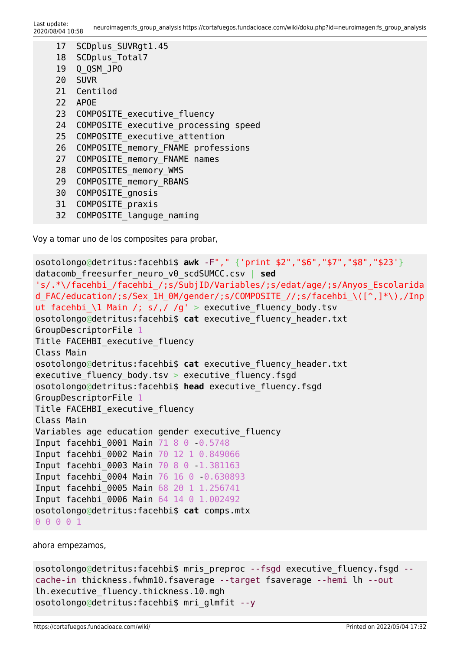```
 17 SCDplus_SUVRgt1.45
18 SCDplus Total7
 19 Q_QSM_JPO
 20 SUVR
 21 Centilod
 22 APOE
23 COMPOSITE executive fluency
24 COMPOSITE executive processing speed
25 COMPOSITE executive attention
26 COMPOSITE memory FNAME professions
27 COMPOSITE memory FNAME names
28 COMPOSITES memory WMS
29 COMPOSITE memory RBANS
30 COMPOSITE anosis
31 COMPOSITE praxis
```
32 COMPOSITE languge naming

Voy a tomar uno de los composites para probar,

```
osotolongo@detritus:facehbi$ awk -F"," {'print $2","$6","$7","$8","$23'}
datacomb_freesurfer_neuro_v0_scdSUMCC.csv | sed
's/.*\/facehbi_/facehbi_/;s/SubjID/Variables/;s/edat/age/;s/Anyos_Escolarida
d FAC/education/;s/Sex 1H 0M/gender/;s/COMPOSITE //;s/facehbi \([^,]*\),/Inp
ut facehbi_\1 Main /; s/,/ /g' > executive_fluency_body.tsv
osotolongo@detritus:facehbi$ cat executive_fluency_header.txt
GroupDescriptorFile 1
Title FACEHBI executive fluency
Class Main
osotolongo@detritus:facehbi$ cat executive_fluency_header.txt
executive fluency body.tsv > executive fluency.fsgd
osotolongo@detritus:facehbi$ head executive_fluency.fsgd
GroupDescriptorFile 1
Title FACEHBI executive fluency
Class Main
Variables age education gender executive fluency
Input facehbi 0001 Main 71 8 0 0.5748
Input facehbi_0002 Main 70 12 1 0.849066
Input facehbi_0003 Main 70 8 0 -1.381163
Input facehbi_0004 Main 76 16 0 -0.630893
Input facehbi_0005 Main 68 20 1 1.256741
Input facehbi_0006 Main 64 14 0 1.002492
osotolongo@detritus:facehbi$ cat comps.mtx
0 0 0 0 1
```
ahora empezamos,

```
osotolongo@detritus:facehbi$ mris preproc --fsgd executive fluency.fsgd --
cache-in thickness.fwhm10.fsaverage --target fsaverage --hemi lh --out
lh.executive_fluency.thickness.10.mgh
osotolongo@detritus:facehbi$ mri_glmfit --y
```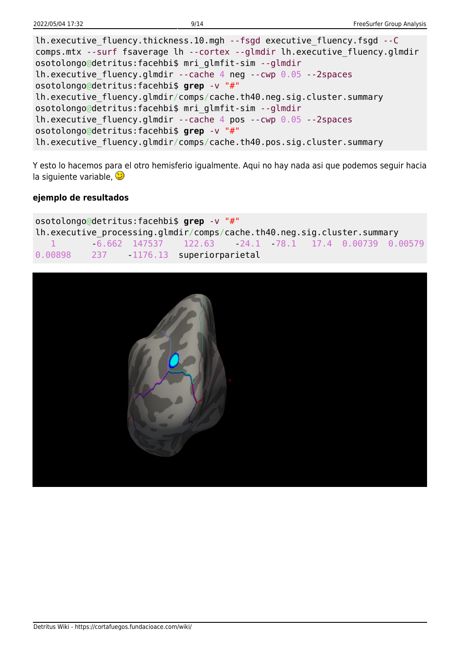| lh.executive fluency.thickness.10.mgh --fsgd executive fluency.fsgd --C     |
|-----------------------------------------------------------------------------|
| comps.mtx --surf fsaverage lh --cortex --glmdir lh.executive fluency.glmdir |
| osotolongo@detritus:facehbi\$ mri glmfit-sim --glmdir                       |
| Ih.executive fluency.glmdir --cache 4 neg --cwp $0.05$ --2spaces            |
| osotolongo@detritus:facehbi\$ grep -v "#"                                   |
| lh.executive fluency.glmdir/comps/cache.th40.neg.sig.cluster.summary        |
| osotolongo@detritus:facehbi\$ mri glmfit-sim --glmdir                       |
| lh.executive fluency.glmdir --cache 4 pos --cwp $0.05$ --2spaces            |
| osotolongo@detritus:facehbi\$ grep -v "#"                                   |
| lh.executive fluency.glmdir/comps/cache.th40.pos.sig.cluster.summary        |

Y esto lo hacemos para el otro hemisferio igualmente. Aqui no hay nada asi que podemos seguir hacia la siguiente variable,

#### **ejemplo de resultados**

osotolongo@detritus:facehbi\$ **grep** -v "#" lh.executive\_processing.glmdir/comps/cache.th40.neg.sig.cluster.summary 1 -6.662 147537 122.63 -24.1 -78.1 17.4 0.00739 0.00579 0.00898 237 - 1176.13 superiorparietal

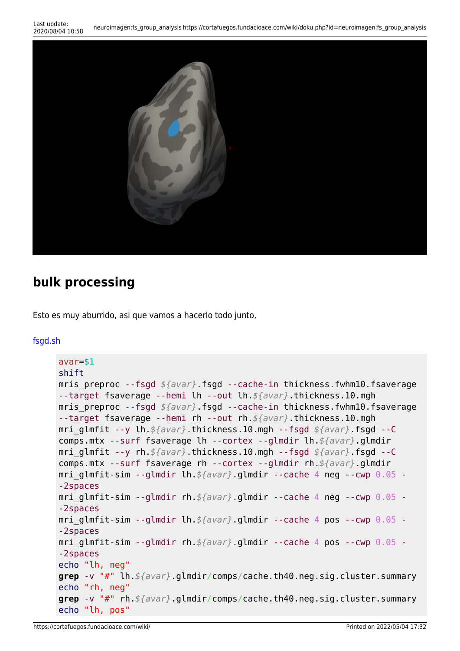```
Last update:<br>2020/08/04 10:58
                        2020/08/04 10:58 neuroimagen:fs_group_analysis https://cortafuegos.fundacioace.com/wiki/doku.php?id=neuroimagen:fs_group_analysis
```


### **bulk processing**

Esto es muy aburrido, asi que vamos a hacerlo todo junto,

#### [fsgd.sh](https://cortafuegos.fundacioace.com/wiki/doku.php?do=export_code&id=neuroimagen:fs_group_analysis&codeblock=11)

```
avar=$1
shift
mris preproc --fsgd ${avar}.fsgd --cache-in thickness.fwhm10.fsaverage
--target fsaverage --hemi lh --out lh.${avar}.thickness.10.mgh
mris preproc --fsgd ${avar}.fsgd --cache-in thickness.fwhm10.fsaverage
--target fsaverage --hemi rh --out rh.${avar}.thickness.10.mgh
mri_glmfit --y lh.${avar}.thickness.10.mgh --fsgd ${avar}.fsgd --C
comps.mtx --surf fsaverage lh --cortex --glmdir lh.${avar}.glmdir
mri_glmfit --y rh.${avar}.thickness.10.mgh --fsgd ${avar}.fsgd --C
comps.mtx --surf fsaverage rh --cortex --glmdir rh.${avar}.glmdir
mri_glmfit-sim --glmdir lh.${avar}.glmdir --cache 4 neg --cwp 0.05 -
-2spaces
mri_glmfit-sim --glmdir rh.${avar}.glmdir --cache 4 neg --cwp 0.05 -
-2spaces
mri_glmfit-sim --glmdir lh.${avar}.glmdir --cache 4 pos --cwp 0.05 -
-2spaces
mri_glmfit-sim --glmdir rh.${avar}.glmdir --cache 4 pos --cwp 0.05 -
-2spaces
echo "lh, neg"
grep -v "#" lh.${avar}.glmdir/comps/cache.th40.neg.sig.cluster.summary
echo "rh, neg"
grep -v "#" rh.${avar}.glmdir/comps/cache.th40.neg.sig.cluster.summary
echo "lh, pos"
```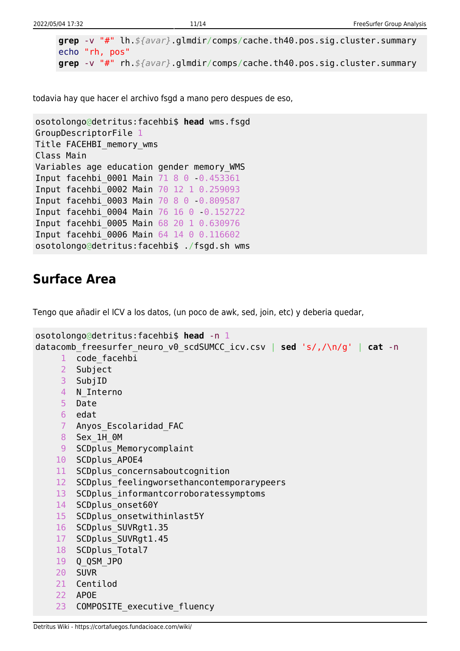```
grep -v "#" lh.${avar}.glmdir/comps/cache.th40.pos.sig.cluster.summary
echo "rh, pos"
grep -v "#" rh.${avar}.glmdir/comps/cache.th40.pos.sig.cluster.summary
```
todavia hay que hacer el archivo fsgd a mano pero despues de eso,

```
osotolongo@detritus:facehbi$ head wms.fsgd
GroupDescriptorFile 1
Title FACEHBI_memory_wms
Class Main
Variables age education gender memory_WMS
Input facehbi 0001 Main 71 8 0 0.453361
Input facehbi_0002 Main 70 12 1 0.259093
Input facehbi_0003 Main 70 8 0 -0.809587
Input facehbi_0004 Main 76 16 0 -0.152722
Input facehbi_0005 Main 68 20 1 0.630976
Input facehbi_0006 Main 64 14 0 0.116602
osotolongo@detritus:facehbi$ ./fsgd.sh wms
```
### **Surface Area**

Tengo que añadir el ICV a los datos, (un poco de awk, sed, join, etc) y deberia quedar,

```
osotolongo@detritus:facehbi$ head -n 1
datacomb_freesurfer_neuro_v0_scdSUMCC_icv.csv | sed 's/,/\n/g' | cat -n
     1 code facehbi
      2 Subject
     3 SubjID
    4 N Interno
     5 Date
     6 edat
     7 Anyos_Escolaridad_FAC
     8 Sex_1H_0M
    9 SCDplus Memorycomplaint
     10 SCDplus_APOE4
    11 SCDplus concernsaboutcognition
    12 SCDplus feelingworsethancontemporarypeers
    13 SCDplus informantcorroboratessymptoms
    14 SCDplus onset60Y
    15 SCDplus onsetwithinlast5Y
     16 SCDplus_SUVRgt1.35
     17 SCDplus_SUVRgt1.45
    18 SCDplus Total7
     19 Q_QSM_JPO
     20 SUVR
     21 Centilod
     22 APOE
     23 COMPOSITE_executive_fluency
```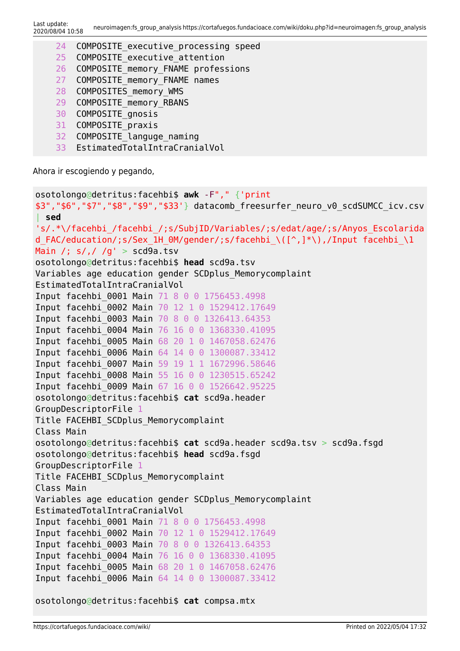- 24 COMPOSITE executive processing speed
- 25 COMPOSITE executive attention
- 26 COMPOSITE memory FNAME professions
- 27 COMPOSITE memory FNAME names
- 28 COMPOSITES memory WMS
- 29 COMPOSITE memory RBANS
- 30 COMPOSITE\_gnosis
- 31 COMPOSITE\_praxis
- 32 COMPOSITE languge naming
- 33 EstimatedTotalIntraCranialVol

Ahora ir escogiendo y pegando,

```
osotolongo@detritus:facehbi$ awk -F"," {'print
$3","$6","$7","$8","$9","$33'} datacomb_freesurfer_neuro_v0_scdSUMCC_icv.csv
 | sed
's/.*\/facehbi_/facehbi_/;s/SubjID/Variables/;s/edat/age/;s/Anyos_Escolarida
d FAC/education/;s/Sex 1H OM/gender,s/facehbi \([^,]*\),/Input facehbi \1
Main /: s/. /g' > scd9a.tsv
osotolongo@detritus:facehbi$ head scd9a.tsv
Variables age education gender SCDplus Memorycomplaint
EstimatedTotalIntraCranialVol
Input facehbi_0001 Main 71 8 0 0 1756453.4998
Input facehbi_0002 Main 70 12 1 0 1529412.17649
Input facehbi_0003 Main 70 8 0 0 1326413.64353
Input facehbi_0004 Main 76 16 0 0 1368330.41095
Input facehbi_0005 Main 68 20 1 0 1467058.62476
Input facehbi_0006 Main 64 14 0 0 1300087.33412
Input facehbi_0007 Main 59 19 1 1 1672996.58646
Input facehbi_0008 Main 55 16 0 0 1230515.65242
Input facehbi_0009 Main 67 16 0 0 1526642.95225
osotolongo@detritus:facehbi$ cat scd9a.header
GroupDescriptorFile 1
Title FACEHBI SCDplus Memorycomplaint
Class Main
osotolongo@detritus:facehbi$ cat scd9a.header scd9a.tsv > scd9a.fsgd
osotolongo@detritus:facehbi$ head scd9a.fsgd
GroupDescriptorFile 1
Title FACEHBI SCDplus Memorycomplaint
Class Main
Variables age education gender SCDplus Memorycomplaint
EstimatedTotalIntraCranialVol
Input facehbi_0001 Main 71 8 0 0 1756453.4998
Input facehbi_0002 Main 70 12 1 0 1529412.17649
Input facehbi_0003 Main 70 8 0 0 1326413.64353
Input facehbi_0004 Main 76 16 0 0 1368330.41095
Input facehbi_0005 Main 68 20 1 0 1467058.62476
Input facehbi_0006 Main 64 14 0 0 1300087.33412
osotolongo@detritus:facehbi$ cat compsa.mtx
```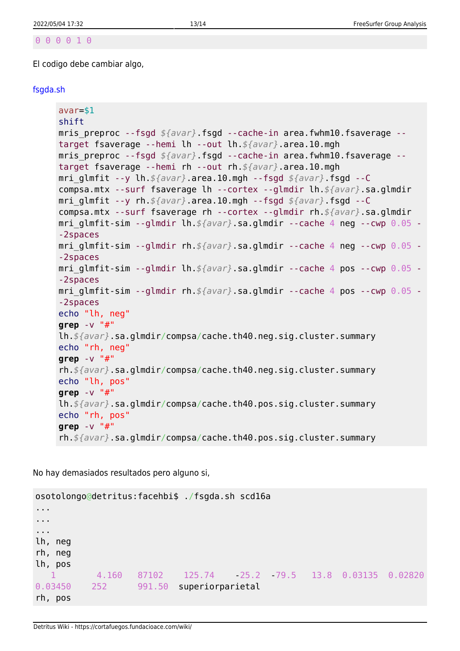#### 0 0 0 0 1 0

El codigo debe cambiar algo,

#### [fsgda.sh](https://cortafuegos.fundacioace.com/wiki/doku.php?do=export_code&id=neuroimagen:fs_group_analysis&codeblock=15)

```
avar=$1
shift
mris preproc --fsgd ${avar}.fsgd --cache-in area.fwhm10.fsaverage --
target fsaverage --hemi lh --out lh.${avar}.area.10.mgh
mris_preproc --fsgd ${avar}.fsgd --cache-in area.fwhm10.fsaverage --
target fsaverage --hemi rh --out rh.${avar}.area.10.mgh
mri_glmfit --y lh.${avar}.area.10.mgh --fsgd ${avar}.fsgd --C
compsa.mtx --surf fsaverage lh --cortex --glmdir lh.${avar}.sa.glmdir
mri_glmfit --y rh.${avar}.area.10.mgh --fsgd ${avar}.fsgd --C
compsa.mtx --surf fsaverage rh --cortex --glmdir rh.${avar}.sa.glmdir
mri_glmfit-sim --glmdir lh.${avar}.sa.glmdir --cache 4 neg --cwp 0.05 -
-2spaces
mri_glmfit-sim --glmdir rh.${avar}.sa.glmdir --cache 4 neg --cwp 0.05 -
-2spaces
mri_glmfit-sim --glmdir lh.${avar}.sa.glmdir --cache 4 pos --cwp 0.05 -
-2spaces
mri_glmfit-sim --glmdir rh.${avar}.sa.glmdir --cache 4 pos --cwp 0.05 -
-2spaces
echo "lh, neg"
grep -v "#"
lh.${avar}.sa.glmdir/compsa/cache.th40.neg.sig.cluster.summary
echo "rh, neg"
grep -v "#"
rh.${avar}.sa.glmdir/compsa/cache.th40.neg.sig.cluster.summary
echo "lh, pos"
grep -v "#"
lh.${avar}.sa.glmdir/compsa/cache.th40.pos.sig.cluster.summary
echo "rh, pos"
grep -v "#"
rh.${avar}.sa.glmdir/compsa/cache.th40.pos.sig.cluster.summary
```
No hay demasiados resultados pero alguno si,

```
osotolongo@detritus:facehbi$ ./fsgda.sh scd16a
...
...
...
lh, neg
rh, neg
lh, pos
   1 4.160 87102 125.74 -25.2 -79.5 13.8 0.03135 0.02820
0.03450 252 991.50 superiorparietal
rh, pos
```